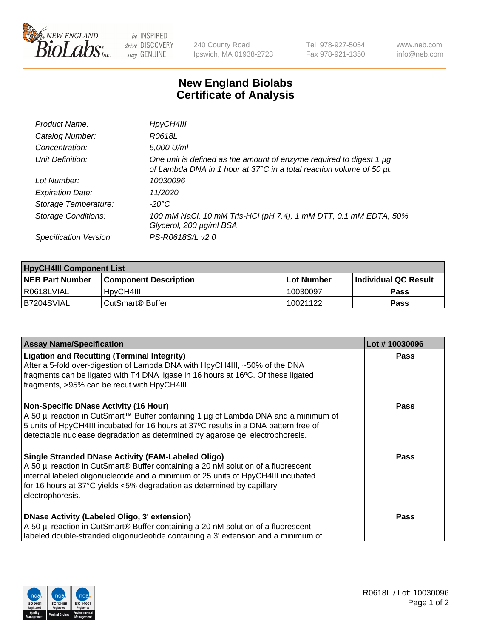

 $be$  INSPIRED drive DISCOVERY stay GENUINE

240 County Road Ipswich, MA 01938-2723 Tel 978-927-5054 Fax 978-921-1350 www.neb.com info@neb.com

## **New England Biolabs Certificate of Analysis**

| Product Name:              | HpyCH4III                                                                                                                                   |
|----------------------------|---------------------------------------------------------------------------------------------------------------------------------------------|
| Catalog Number:            | R0618L                                                                                                                                      |
| Concentration:             | 5,000 U/ml                                                                                                                                  |
| Unit Definition:           | One unit is defined as the amount of enzyme required to digest 1 µg<br>of Lambda DNA in 1 hour at 37°C in a total reaction volume of 50 µl. |
| Lot Number:                | 10030096                                                                                                                                    |
| <b>Expiration Date:</b>    | 11/2020                                                                                                                                     |
| Storage Temperature:       | -20°C                                                                                                                                       |
| <b>Storage Conditions:</b> | 100 mM NaCl, 10 mM Tris-HCl (pH 7.4), 1 mM DTT, 0.1 mM EDTA, 50%<br>Glycerol, 200 µg/ml BSA                                                 |
| Specification Version:     | PS-R0618S/L v2.0                                                                                                                            |

| <b>HpyCH4III Component List</b> |                              |            |                             |  |  |
|---------------------------------|------------------------------|------------|-----------------------------|--|--|
| <b>NEB Part Number</b>          | Component Description_       | Lot Number | <b>Individual QC Result</b> |  |  |
| I R0618LVIAL                    | 'HpyCH4III                   | 10030097   | Pass                        |  |  |
| B7204SVIAL                      | CutSmart <sup>®</sup> Buffer | 10021122   | Pass                        |  |  |

| <b>Assay Name/Specification</b>                                                                                                                                                                                                                                                                                            | Lot #10030096 |
|----------------------------------------------------------------------------------------------------------------------------------------------------------------------------------------------------------------------------------------------------------------------------------------------------------------------------|---------------|
| <b>Ligation and Recutting (Terminal Integrity)</b><br>After a 5-fold over-digestion of Lambda DNA with HpyCH4III, ~50% of the DNA<br>fragments can be ligated with T4 DNA ligase in 16 hours at 16°C. Of these ligated<br>fragments, >95% can be recut with HpyCH4III.                                                     | <b>Pass</b>   |
| Non-Specific DNase Activity (16 Hour)<br>  A 50 µl reaction in CutSmart™ Buffer containing 1 µg of Lambda DNA and a minimum of<br>5 units of HpyCH4III incubated for 16 hours at 37°C results in a DNA pattern free of<br>detectable nuclease degradation as determined by agarose gel electrophoresis.                    | <b>Pass</b>   |
| Single Stranded DNase Activity (FAM-Labeled Oligo)<br>A 50 µl reaction in CutSmart® Buffer containing a 20 nM solution of a fluorescent<br>internal labeled oligonucleotide and a minimum of 25 units of HpyCH4III incubated<br>for 16 hours at 37°C yields <5% degradation as determined by capillary<br>electrophoresis. | <b>Pass</b>   |
| DNase Activity (Labeled Oligo, 3' extension)<br>A 50 µl reaction in CutSmart® Buffer containing a 20 nM solution of a fluorescent<br>labeled double-stranded oligonucleotide containing a 3' extension and a minimum of                                                                                                    | <b>Pass</b>   |